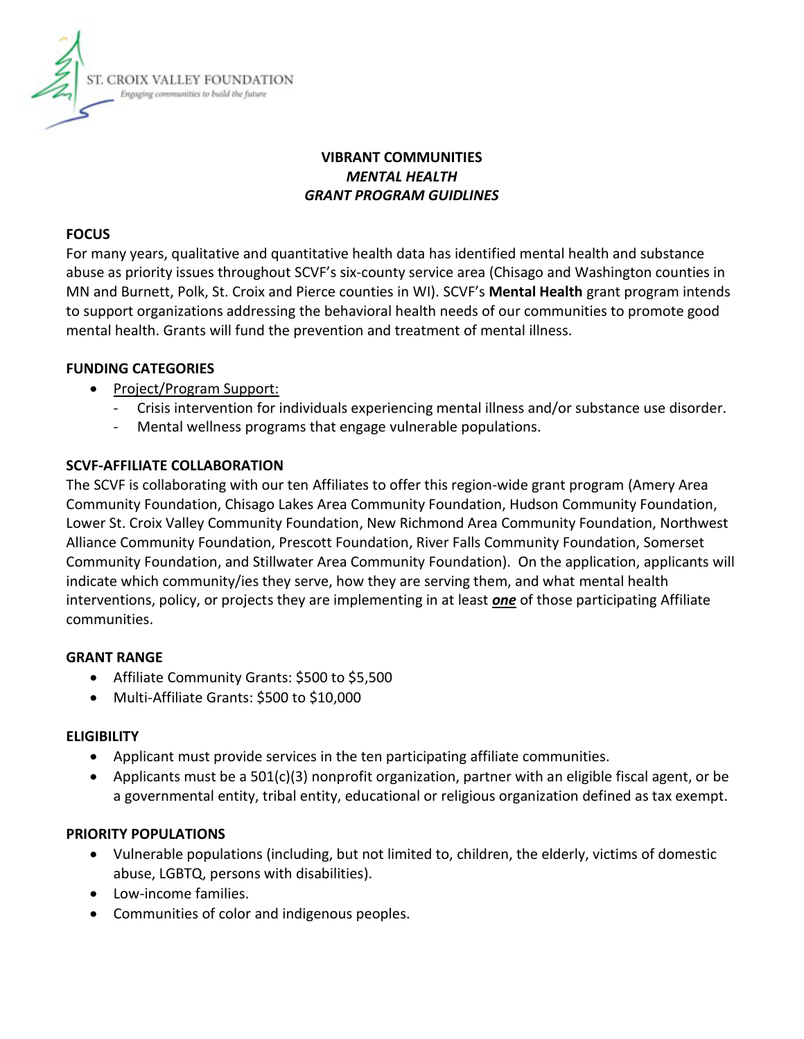

# **VIBRANT COMMUNITIES**  *MENTAL HEALTH GRANT PROGRAM GUIDLINES*

#### **FOCUS**

For many years, qualitative and quantitative health data has identified mental health and substance abuse as priority issues throughout SCVF's six-county service area (Chisago and Washington counties in MN and Burnett, Polk, St. Croix and Pierce counties in WI). SCVF's **Mental Health** grant program intends to support organizations addressing the behavioral health needs of our communities to promote good mental health. Grants will fund the prevention and treatment of mental illness.

## **FUNDING CATEGORIES**

- Project/Program Support:
	- Crisis intervention for individuals experiencing mental illness and/or substance use disorder.
	- Mental wellness programs that engage vulnerable populations.

## **SCVF-AFFILIATE COLLABORATION**

The SCVF is collaborating with our ten Affiliates to offer this region-wide grant program (Amery Area Community Foundation, Chisago Lakes Area Community Foundation, Hudson Community Foundation, Lower St. Croix Valley Community Foundation, New Richmond Area Community Foundation, Northwest Alliance Community Foundation, Prescott Foundation, River Falls Community Foundation, Somerset Community Foundation, and Stillwater Area Community Foundation). On the application, applicants will indicate which community/ies they serve, how they are serving them, and what mental health interventions, policy, or projects they are implementing in at least *one* of those participating Affiliate communities.

## **GRANT RANGE**

- Affiliate Community Grants: \$500 to \$5,500
- Multi-Affiliate Grants: \$500 to \$10,000

## **ELIGIBILITY**

- Applicant must provide services in the ten participating affiliate communities.
- Applicants must be a 501(c)(3) nonprofit organization, partner with an eligible fiscal agent, or be a governmental entity, tribal entity, educational or religious organization defined as tax exempt.

## **PRIORITY POPULATIONS**

- Vulnerable populations (including, but not limited to, children, the elderly, victims of domestic abuse, LGBTQ, persons with disabilities).
- Low-income families.
- Communities of color and indigenous peoples.